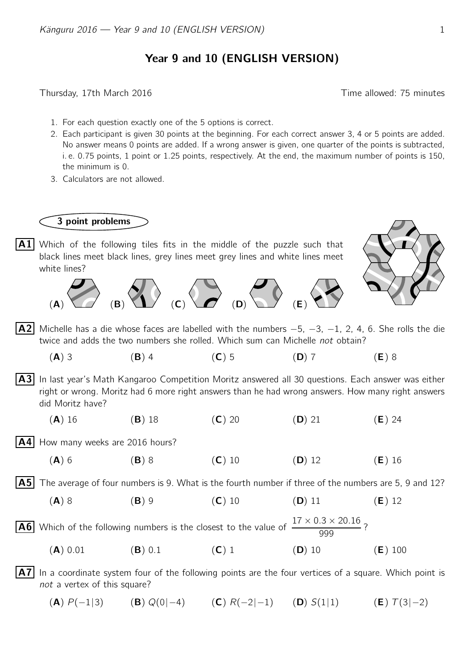## Year 9 and 10 (ENGLISH VERSION)

Thursday, 17th March 2016 **Thursday**, 17th March 2016

- 1. For each question exactly one of the 5 options is correct.
- 2. Each participant is given 30 points at the beginning. For each correct answer 3, 4 or 5 points are added. No answer means 0 points are added. If a wrong answer is given, one quarter of the points is subtracted, i. e. 0.75 points, 1 point or 1.25 points, respectively. At the end, the maximum number of points is 150, the minimum is 0.
- 3. Calculators are not allowed.

3 point problems

- **A1** Which of the following tiles fits in the middle of the puzzle such that black lines meet black lines, grey lines meet grey lines and white lines meet white lines?  $\Rightarrow$  (B)  $\Rightarrow$  (C)  $\Rightarrow$  (B)  $\Rightarrow$  (E)  $\Rightarrow$
- **A2** Michelle has a die whose faces are labelled with the numbers  $-5$ ,  $-3$ ,  $-1$ , 2, 4, 6. She rolls the die twice and adds the two numbers she rolled. Which sum can Michelle not obtain?
	- (A) 3 (B) 4 (C) 5 (D) 7 (E) 8
- A3 In last year's Math Kangaroo Competition Moritz answered all 30 questions. Each answer was either right or wrong. Moritz had 6 more right answers than he had wrong answers. How many right answers did Moritz have?
	- (A) 16 (B) 18 (C) 20 (D) 21 (E) 24
- $|AA|$  How many weeks are 2016 hours?
	- (A) 6 (B) 8 (C) 10 (D) 12 (E) 16

 $|\mathbf{A5}|$  The average of four numbers is 9. What is the fourth number if three of the numbers are 5, 9 and 12?

(A) 8 (B) 9 (C) 10 (D) 11 (E) 12

**A6** Which of the following numbers is the closest to the value of  $\frac{17 \times 0.3 \times 20.16}{0.00}$  $\frac{18 \times 28.18}{999}$  ?

- (A) 0.01 (B) 0.1 (C) 1 (D) 10 (E) 100
- $|\overline{A7}|$  In a coordinate system four of the following points are the four vertices of a square. Which point is not a vertex of this square?
	- (A)  $P(-1|3)$  (B)  $Q(0|-4)$  (C)  $R(-2|-1)$  (D)  $S(1|1)$  (E)  $T(3|-2)$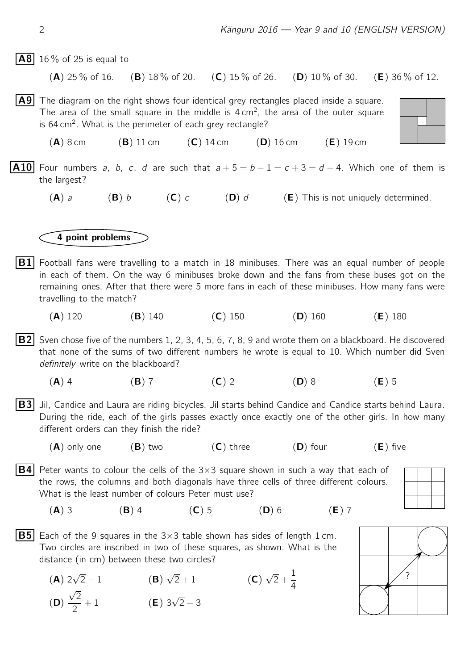$|AB|$  16% of 25 is equal to

(A) 25 % of 16. (B) 18 % of 20. (C) 15 % of 26. (D) 10 % of 30. (E) 36 % of 12.

- $|A9|$  The diagram on the right shows four identical grey rectangles placed inside a square. The area of the small square in the middle is  $4 \text{ cm}^2$ , the area of the outer square is 64 cm<sup>2</sup>. What is the perimeter of each grey rectangle?
	- $(A)$  8 cm  $(B)$  11 cm  $(C)$  14 cm  $(D)$  16 cm  $(E)$  19 cm
- **A10** Four numbers a, b, c, d are such that  $a + 5 = b 1 = c + 3 = d 4$ . Which one of them is the largest?
	- (A) a (B) b (C) c (D) d (E) This is not uniquely determined.

## 4 point problems

- $|B1|$  Football fans were travelling to a match in 18 minibuses. There was an equal number of people in each of them. On the way 6 minibuses broke down and the fans from these buses got on the remaining ones. After that there were 5 more fans in each of these minibuses. How many fans were travelling to the match?
	- (A) 120 (B) 140 (C) 150 (D) 160 (E) 180

**B2** Sven chose five of the numbers 1, 2, 3, 4, 5, 6, 7, 8, 9 and wrote them on a blackboard. He discovered that none of the sums of two different numbers he wrote is equal to 10. Which number did Sven definitely write on the blackboard?

- (A) 4 (B) 7 (C) 2 (D) 8 (E) 5
- $|B3|$  Jil, Candice and Laura are riding bicycles. Jil starts behind Candice and Candice starts behind Laura. During the ride, each of the girls passes exactly once exactly one of the other girls. In how many different orders can they finish the ride?
	- $(A)$  only one  $(B)$  two  $(C)$  three  $(D)$  four  $(E)$  five
- **B4** Peter wants to colour the cells of the  $3\times3$  square shown in such a way that each of the rows, the columns and both diagonals have three cells of three different colours. What is the least number of colours Peter must use?
	- (A) 3 (B) 4 (C) 5 (D) 6 (E) 7



 $(A)$  2 $\sqrt{ }$  $\overline{2} - 1$  (B)  $\sqrt{2} + 1$  (C)  $\sqrt{2} + \frac{1}{4}$ 4 (D)  $\sqrt{2}$ 2  $+ 1$  (**E**)  $3\sqrt{2} - 3$ 

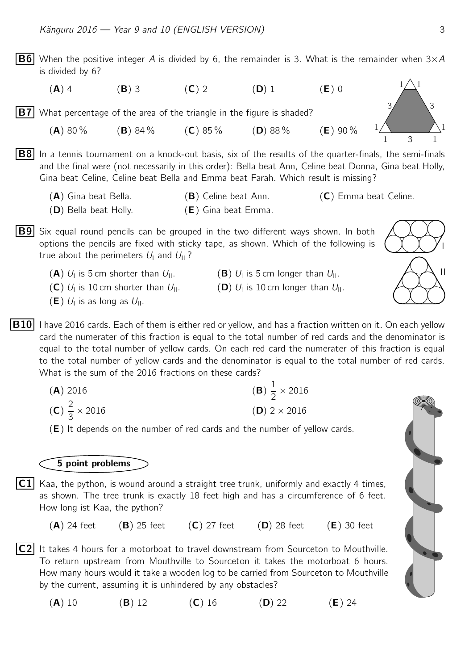

(**A**) 10 (**B**) 12 (**C**) 16 (**D**) 22 (**E**) 24